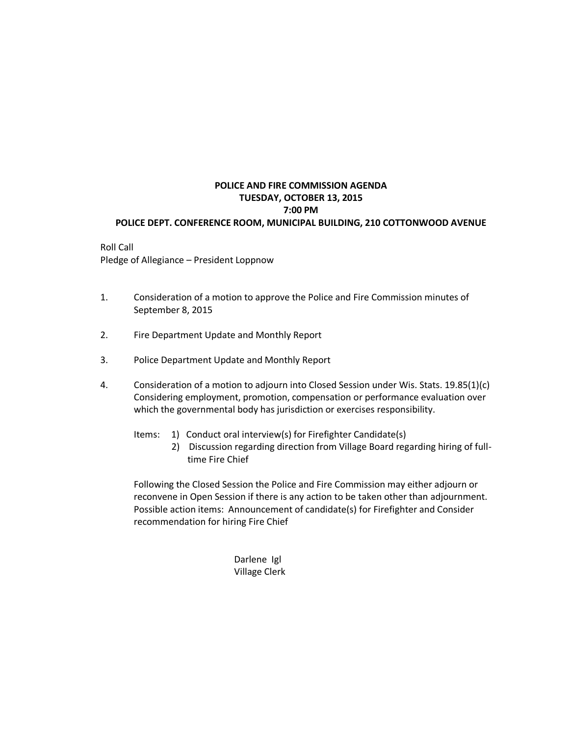## **POLICE AND FIRE COMMISSION AGENDA TUESDAY, OCTOBER 13, 2015 7:00 PM POLICE DEPT. CONFERENCE ROOM, MUNICIPAL BUILDING, 210 COTTONWOOD AVENUE**

Roll Call Pledge of Allegiance – President Loppnow

- 1. Consideration of a motion to approve the Police and Fire Commission minutes of September 8, 2015
- 2. Fire Department Update and Monthly Report
- 3. Police Department Update and Monthly Report
- 4. Consideration of a motion to adjourn into Closed Session under Wis. Stats. 19.85(1)(c) Considering employment, promotion, compensation or performance evaluation over which the governmental body has jurisdiction or exercises responsibility.
	- Items: 1) Conduct oral interview(s) for Firefighter Candidate(s)
		- 2) Discussion regarding direction from Village Board regarding hiring of full time Fire Chief

Following the Closed Session the Police and Fire Commission may either adjourn or reconvene in Open Session if there is any action to be taken other than adjournment. Possible action items: Announcement of candidate(s) for Firefighter and Consider recommendation for hiring Fire Chief

> Darlene Igl Village Clerk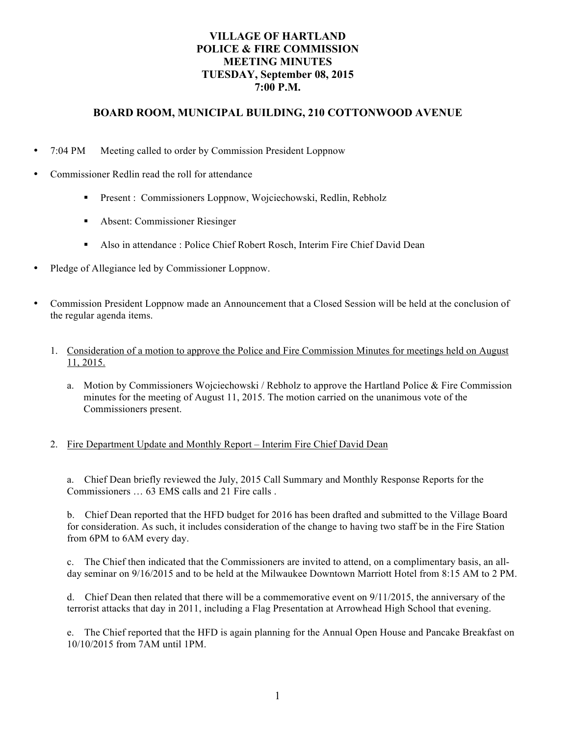# **VILLAGE OF HARTLAND POLICE & FIRE COMMISSION MEETING MINUTES TUESDAY, September 08, 2015 7:00 P.M.**

# **BOARD ROOM, MUNICIPAL BUILDING, 210 COTTONWOOD AVENUE**

- 7:04 PM Meeting called to order by Commission President Loppnow
- Commissioner Redlin read the roll for attendance
	- **Present : Commissioners Loppnow, Wojciechowski, Redlin, Rebholz**
	- Absent: Commissioner Riesinger
	- Also in attendance : Police Chief Robert Rosch, Interim Fire Chief David Dean
- Pledge of Allegiance led by Commissioner Loppnow.
- Commission President Loppnow made an Announcement that a Closed Session will be held at the conclusion of the regular agenda items.
	- 1. Consideration of a motion to approve the Police and Fire Commission Minutes for meetings held on August 11, 2015.
		- a. Motion by Commissioners Wojciechowski / Rebholz to approve the Hartland Police & Fire Commission minutes for the meeting of August 11, 2015. The motion carried on the unanimous vote of the Commissioners present.

# 2. Fire Department Update and Monthly Report – Interim Fire Chief David Dean

a. Chief Dean briefly reviewed the July, 2015 Call Summary and Monthly Response Reports for the Commissioners … 63 EMS calls and 21 Fire calls .

b. Chief Dean reported that the HFD budget for 2016 has been drafted and submitted to the Village Board for consideration. As such, it includes consideration of the change to having two staff be in the Fire Station from 6PM to 6AM every day.

c. The Chief then indicated that the Commissioners are invited to attend, on a complimentary basis, an allday seminar on 9/16/2015 and to be held at the Milwaukee Downtown Marriott Hotel from 8:15 AM to 2 PM.

d. Chief Dean then related that there will be a commemorative event on 9/11/2015, the anniversary of the terrorist attacks that day in 2011, including a Flag Presentation at Arrowhead High School that evening.

e. The Chief reported that the HFD is again planning for the Annual Open House and Pancake Breakfast on 10/10/2015 from 7AM until 1PM.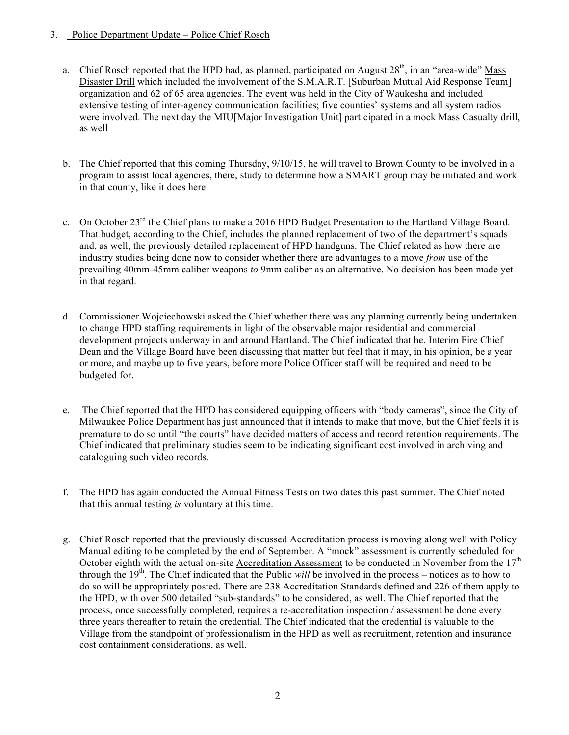## 3. Police Department Update – Police Chief Rosch

- a. Chief Rosch reported that the HPD had, as planned, participated on August 28<sup>th</sup>, in an "area-wide" Mass Disaster Drill which included the involvement of the S.M.A.R.T. [Suburban Mutual Aid Response Team] organization and 62 of 65 area agencies. The event was held in the City of Waukesha and included extensive testing of inter-agency communication facilities; five counties' systems and all system radios were involved. The next day the MIU[Major Investigation Unit] participated in a mock Mass Casualty drill, as well
- b. The Chief reported that this coming Thursday, 9/10/15, he will travel to Brown County to be involved in a program to assist local agencies, there, study to determine how a SMART group may be initiated and work in that county, like it does here.
- c. On October 23<sup>rd</sup> the Chief plans to make a 2016 HPD Budget Presentation to the Hartland Village Board. That budget, according to the Chief, includes the planned replacement of two of the department's squads and, as well, the previously detailed replacement of HPD handguns. The Chief related as how there are industry studies being done now to consider whether there are advantages to a move *from* use of the prevailing 40mm-45mm caliber weapons *to* 9mm caliber as an alternative. No decision has been made yet in that regard.
- d. Commissioner Wojciechowski asked the Chief whether there was any planning currently being undertaken to change HPD staffing requirements in light of the observable major residential and commercial development projects underway in and around Hartland. The Chief indicated that he, Interim Fire Chief Dean and the Village Board have been discussing that matter but feel that it may, in his opinion, be a year or more, and maybe up to five years, before more Police Officer staff will be required and need to be budgeted for.
- e. The Chief reported that the HPD has considered equipping officers with "body cameras", since the City of Milwaukee Police Department has just announced that it intends to make that move, but the Chief feels it is premature to do so until "the courts" have decided matters of access and record retention requirements. The Chief indicated that preliminary studies seem to be indicating significant cost involved in archiving and cataloguing such video records.
- f. The HPD has again conducted the Annual Fitness Tests on two dates this past summer. The Chief noted that this annual testing *is* voluntary at this time.
- g. Chief Rosch reported that the previously discussed Accreditation process is moving along well with Policy Manual editing to be completed by the end of September. A "mock" assessment is currently scheduled for October eighth with the actual on-site Accreditation Assessment to be conducted in November from the  $17<sup>th</sup>$ through the 19<sup>th</sup>. The Chief indicated that the Public *will* be involved in the process – notices as to how to do so will be appropriately posted. There are 238 Accreditation Standards defined and 226 of them apply to the HPD, with over 500 detailed "sub-standards" to be considered, as well. The Chief reported that the process, once successfully completed, requires a re-accreditation inspection / assessment be done every three years thereafter to retain the credential. The Chief indicated that the credential is valuable to the Village from the standpoint of professionalism in the HPD as well as recruitment, retention and insurance cost containment considerations, as well.